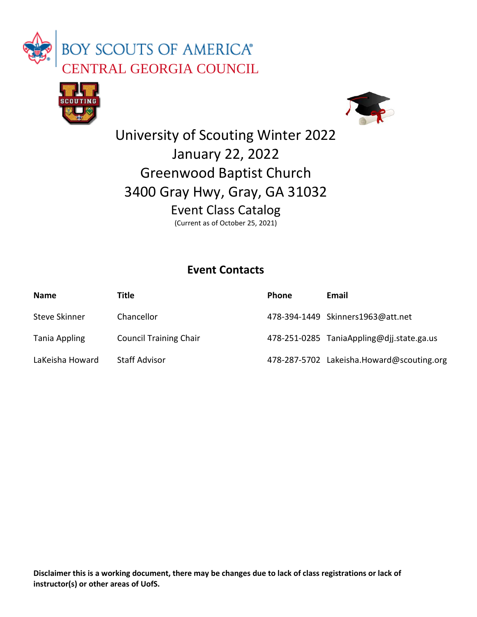





## University of Scouting Winter 2022 January 22, 2022 Greenwood Baptist Church 3400 Gray Hwy, Gray, GA 31032 Event Class Catalog (Current as of October 25, 2021)

## **Event Contacts**

| <b>Name</b>     | Title                         | <b>Phone</b> | Email                                     |
|-----------------|-------------------------------|--------------|-------------------------------------------|
| Steve Skinner   | Chancellor                    |              | 478-394-1449 Skinners1963@att.net         |
| Tania Appling   | <b>Council Training Chair</b> |              | 478-251-0285 TaniaAppling@djj.state.ga.us |
| LaKeisha Howard | <b>Staff Advisor</b>          |              | 478-287-5702 Lakeisha.Howard@scouting.org |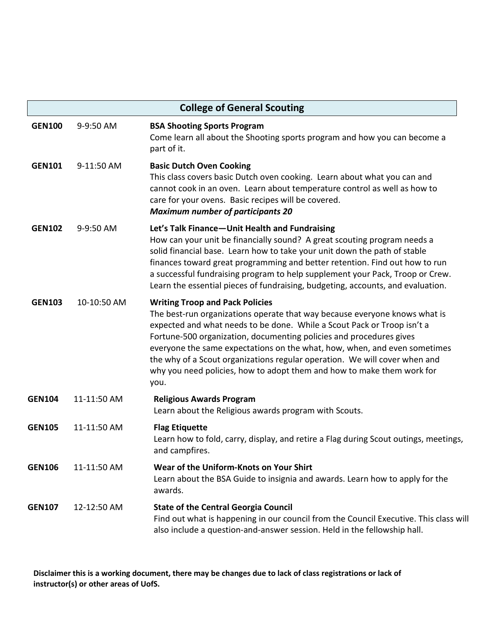| <b>College of General Scouting</b> |             |                                                                                                                                                                                                                                                                                                                                                                                                                                                                                                                     |
|------------------------------------|-------------|---------------------------------------------------------------------------------------------------------------------------------------------------------------------------------------------------------------------------------------------------------------------------------------------------------------------------------------------------------------------------------------------------------------------------------------------------------------------------------------------------------------------|
| <b>GEN100</b>                      | 9-9:50 AM   | <b>BSA Shooting Sports Program</b><br>Come learn all about the Shooting sports program and how you can become a<br>part of it.                                                                                                                                                                                                                                                                                                                                                                                      |
| <b>GEN101</b>                      | 9-11:50 AM  | <b>Basic Dutch Oven Cooking</b><br>This class covers basic Dutch oven cooking. Learn about what you can and<br>cannot cook in an oven. Learn about temperature control as well as how to<br>care for your ovens. Basic recipes will be covered.<br><b>Maximum number of participants 20</b>                                                                                                                                                                                                                         |
| <b>GEN102</b>                      | 9-9:50 AM   | Let's Talk Finance-Unit Health and Fundraising<br>How can your unit be financially sound? A great scouting program needs a<br>solid financial base. Learn how to take your unit down the path of stable<br>finances toward great programming and better retention. Find out how to run<br>a successful fundraising program to help supplement your Pack, Troop or Crew.<br>Learn the essential pieces of fundraising, budgeting, accounts, and evaluation.                                                          |
| <b>GEN103</b>                      | 10-10:50 AM | <b>Writing Troop and Pack Policies</b><br>The best-run organizations operate that way because everyone knows what is<br>expected and what needs to be done. While a Scout Pack or Troop isn't a<br>Fortune-500 organization, documenting policies and procedures gives<br>everyone the same expectations on the what, how, when, and even sometimes<br>the why of a Scout organizations regular operation. We will cover when and<br>why you need policies, how to adopt them and how to make them work for<br>you. |
| <b>GEN104</b>                      | 11-11:50 AM | <b>Religious Awards Program</b><br>Learn about the Religious awards program with Scouts.                                                                                                                                                                                                                                                                                                                                                                                                                            |
| <b>GEN105</b>                      | 11-11:50 AM | <b>Flag Etiquette</b><br>Learn how to fold, carry, display, and retire a Flag during Scout outings, meetings,<br>and campfires.                                                                                                                                                                                                                                                                                                                                                                                     |
| <b>GEN106</b>                      | 11-11:50 AM | Wear of the Uniform-Knots on Your Shirt<br>Learn about the BSA Guide to insignia and awards. Learn how to apply for the<br>awards.                                                                                                                                                                                                                                                                                                                                                                                  |
| <b>GEN107</b>                      | 12-12:50 AM | <b>State of the Central Georgia Council</b><br>Find out what is happening in our council from the Council Executive. This class will<br>also include a question-and-answer session. Held in the fellowship hall.                                                                                                                                                                                                                                                                                                    |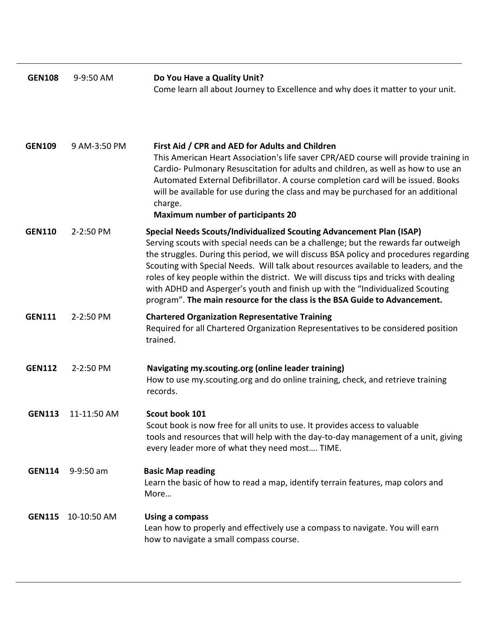| <b>GEN108</b> | 9-9:50 AM    | Do You Have a Quality Unit?<br>Come learn all about Journey to Excellence and why does it matter to your unit.                                                                                                                                                                                                                                                                                                                                                                                                                                                                                        |
|---------------|--------------|-------------------------------------------------------------------------------------------------------------------------------------------------------------------------------------------------------------------------------------------------------------------------------------------------------------------------------------------------------------------------------------------------------------------------------------------------------------------------------------------------------------------------------------------------------------------------------------------------------|
| <b>GEN109</b> | 9 AM-3:50 PM | First Aid / CPR and AED for Adults and Children<br>This American Heart Association's life saver CPR/AED course will provide training in<br>Cardio-Pulmonary Resuscitation for adults and children, as well as how to use an<br>Automated External Defibrillator. A course completion card will be issued. Books<br>will be available for use during the class and may be purchased for an additional<br>charge.<br><b>Maximum number of participants 20</b>                                                                                                                                           |
| <b>GEN110</b> | 2-2:50 PM    | Special Needs Scouts/Individualized Scouting Advancement Plan (ISAP)<br>Serving scouts with special needs can be a challenge; but the rewards far outweigh<br>the struggles. During this period, we will discuss BSA policy and procedures regarding<br>Scouting with Special Needs. Will talk about resources available to leaders, and the<br>roles of key people within the district. We will discuss tips and tricks with dealing<br>with ADHD and Asperger's youth and finish up with the "Individualized Scouting<br>program". The main resource for the class is the BSA Guide to Advancement. |
| <b>GEN111</b> | 2-2:50 PM    | <b>Chartered Organization Representative Training</b><br>Required for all Chartered Organization Representatives to be considered position<br>trained.                                                                                                                                                                                                                                                                                                                                                                                                                                                |
| <b>GEN112</b> | 2-2:50 PM    | Navigating my.scouting.org (online leader training)<br>How to use my.scouting.org and do online training, check, and retrieve training<br>records.                                                                                                                                                                                                                                                                                                                                                                                                                                                    |
| <b>GEN113</b> | 11-11:50 AM  | Scout book 101<br>Scout book is now free for all units to use. It provides access to valuable<br>tools and resources that will help with the day-to-day management of a unit, giving<br>every leader more of what they need most TIME.                                                                                                                                                                                                                                                                                                                                                                |
| <b>GEN114</b> | 9-9:50 am    | <b>Basic Map reading</b><br>Learn the basic of how to read a map, identify terrain features, map colors and<br>More                                                                                                                                                                                                                                                                                                                                                                                                                                                                                   |
| <b>GEN115</b> | 10-10:50 AM  | Using a compass<br>Lean how to properly and effectively use a compass to navigate. You will earn<br>how to navigate a small compass course.                                                                                                                                                                                                                                                                                                                                                                                                                                                           |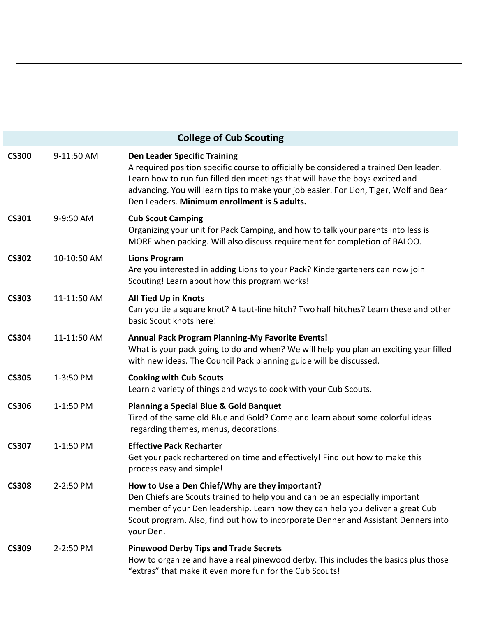| <b>College of Cub Scouting</b> |             |                                                                                                                                                                                                                                                                                                                                                        |
|--------------------------------|-------------|--------------------------------------------------------------------------------------------------------------------------------------------------------------------------------------------------------------------------------------------------------------------------------------------------------------------------------------------------------|
| <b>CS300</b>                   | 9-11:50 AM  | <b>Den Leader Specific Training</b><br>A required position specific course to officially be considered a trained Den leader.<br>Learn how to run fun filled den meetings that will have the boys excited and<br>advancing. You will learn tips to make your job easier. For Lion, Tiger, Wolf and Bear<br>Den Leaders. Minimum enrollment is 5 adults. |
| <b>CS301</b>                   | 9-9:50 AM   | <b>Cub Scout Camping</b><br>Organizing your unit for Pack Camping, and how to talk your parents into less is<br>MORE when packing. Will also discuss requirement for completion of BALOO.                                                                                                                                                              |
| <b>CS302</b>                   | 10-10:50 AM | <b>Lions Program</b><br>Are you interested in adding Lions to your Pack? Kindergarteners can now join<br>Scouting! Learn about how this program works!                                                                                                                                                                                                 |
| <b>CS303</b>                   | 11-11:50 AM | <b>All Tied Up in Knots</b><br>Can you tie a square knot? A taut-line hitch? Two half hitches? Learn these and other<br>basic Scout knots here!                                                                                                                                                                                                        |
| <b>CS304</b>                   | 11-11:50 AM | <b>Annual Pack Program Planning-My Favorite Events!</b><br>What is your pack going to do and when? We will help you plan an exciting year filled<br>with new ideas. The Council Pack planning guide will be discussed.                                                                                                                                 |
| <b>CS305</b>                   | 1-3:50 PM   | <b>Cooking with Cub Scouts</b><br>Learn a variety of things and ways to cook with your Cub Scouts.                                                                                                                                                                                                                                                     |
| <b>CS306</b>                   | 1-1:50 PM   | <b>Planning a Special Blue &amp; Gold Banquet</b><br>Tired of the same old Blue and Gold? Come and learn about some colorful ideas<br>regarding themes, menus, decorations.                                                                                                                                                                            |
| <b>CS307</b>                   | 1-1:50 PM   | <b>Effective Pack Recharter</b><br>Get your pack rechartered on time and effectively! Find out how to make this<br>process easy and simple!                                                                                                                                                                                                            |
| <b>CS308</b>                   | 2-2:50 PM   | How to Use a Den Chief/Why are they important?<br>Den Chiefs are Scouts trained to help you and can be an especially important<br>member of your Den leadership. Learn how they can help you deliver a great Cub<br>Scout program. Also, find out how to incorporate Denner and Assistant Denners into<br>your Den.                                    |
| <b>CS309</b>                   | 2-2:50 PM   | <b>Pinewood Derby Tips and Trade Secrets</b><br>How to organize and have a real pinewood derby. This includes the basics plus those<br>"extras" that make it even more fun for the Cub Scouts!                                                                                                                                                         |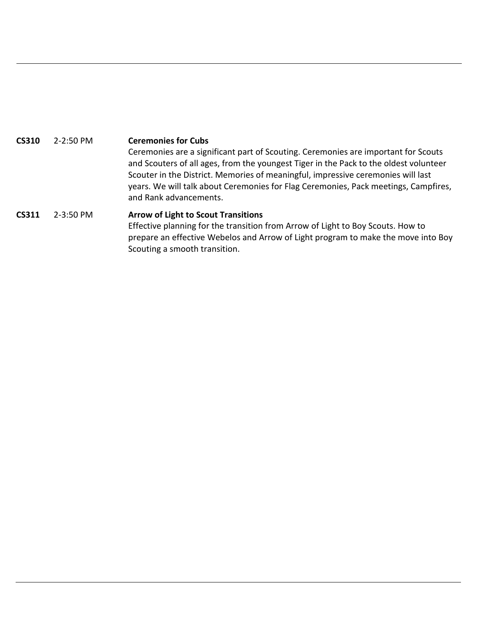**CS310** 2-2:50 PM **Ceremonies for Cubs** Ceremonies are a significant part of Scouting. Ceremonies are important for Scouts and Scouters of all ages, from the youngest Tiger in the Pack to the oldest volunteer Scouter in the District. Memories of meaningful, impressive ceremonies will last years. We will talk about Ceremonies for Flag Ceremonies, Pack meetings, Campfires, and Rank advancements.  **CS311** 2-3:50 PM **Arrow of Light to Scout Transitions** Effective planning for the transition from Arrow of Light to Boy Scouts. How to prepare an effective Webelos and Arrow of Light program to make the move into Boy Scouting a smooth transition.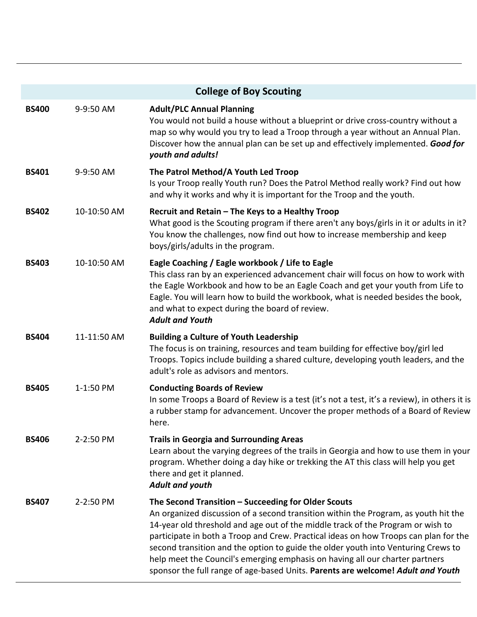|              |             | <b>College of Boy Scouting</b>                                                                                                                                                                                                                                                                                                                                                                                                                                                                                                                                                |
|--------------|-------------|-------------------------------------------------------------------------------------------------------------------------------------------------------------------------------------------------------------------------------------------------------------------------------------------------------------------------------------------------------------------------------------------------------------------------------------------------------------------------------------------------------------------------------------------------------------------------------|
| <b>BS400</b> | 9-9:50 AM   | <b>Adult/PLC Annual Planning</b><br>You would not build a house without a blueprint or drive cross-country without a<br>map so why would you try to lead a Troop through a year without an Annual Plan.<br>Discover how the annual plan can be set up and effectively implemented. Good for<br>youth and adults!                                                                                                                                                                                                                                                              |
| <b>BS401</b> | 9-9:50 AM   | The Patrol Method/A Youth Led Troop<br>Is your Troop really Youth run? Does the Patrol Method really work? Find out how<br>and why it works and why it is important for the Troop and the youth.                                                                                                                                                                                                                                                                                                                                                                              |
| <b>BS402</b> | 10-10:50 AM | Recruit and Retain - The Keys to a Healthy Troop<br>What good is the Scouting program if there aren't any boys/girls in it or adults in it?<br>You know the challenges, now find out how to increase membership and keep<br>boys/girls/adults in the program.                                                                                                                                                                                                                                                                                                                 |
| <b>BS403</b> | 10-10:50 AM | Eagle Coaching / Eagle workbook / Life to Eagle<br>This class ran by an experienced advancement chair will focus on how to work with<br>the Eagle Workbook and how to be an Eagle Coach and get your youth from Life to<br>Eagle. You will learn how to build the workbook, what is needed besides the book,<br>and what to expect during the board of review.<br><b>Adult and Youth</b>                                                                                                                                                                                      |
| <b>BS404</b> | 11-11:50 AM | <b>Building a Culture of Youth Leadership</b><br>The focus is on training, resources and team building for effective boy/girl led<br>Troops. Topics include building a shared culture, developing youth leaders, and the<br>adult's role as advisors and mentors.                                                                                                                                                                                                                                                                                                             |
| <b>BS405</b> | 1-1:50 PM   | <b>Conducting Boards of Review</b><br>In some Troops a Board of Review is a test (it's not a test, it's a review), in others it is<br>a rubber stamp for advancement. Uncover the proper methods of a Board of Review<br>here.                                                                                                                                                                                                                                                                                                                                                |
| <b>BS406</b> | 2-2:50 PM   | <b>Trails in Georgia and Surrounding Areas</b><br>Learn about the varying degrees of the trails in Georgia and how to use them in your<br>program. Whether doing a day hike or trekking the AT this class will help you get<br>there and get it planned.<br>Adult and youth                                                                                                                                                                                                                                                                                                   |
| <b>BS407</b> | 2-2:50 PM   | The Second Transition - Succeeding for Older Scouts<br>An organized discussion of a second transition within the Program, as youth hit the<br>14-year old threshold and age out of the middle track of the Program or wish to<br>participate in both a Troop and Crew. Practical ideas on how Troops can plan for the<br>second transition and the option to guide the older youth into Venturing Crews to<br>help meet the Council's emerging emphasis on having all our charter partners<br>sponsor the full range of age-based Units. Parents are welcome! Adult and Youth |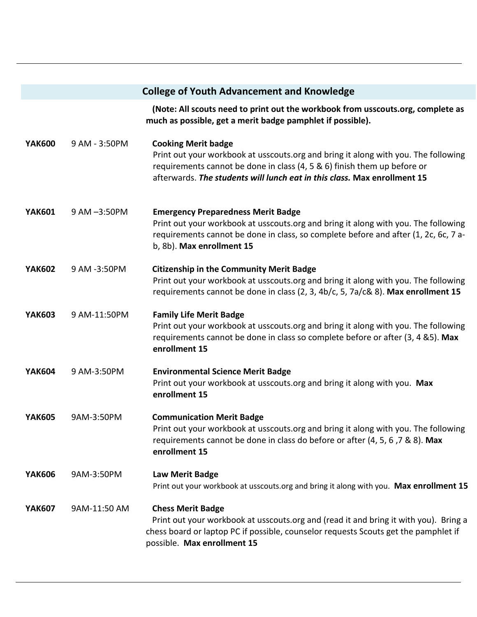|               |               | <b>College of Youth Advancement and Knowledge</b>                                                                                                                                                                                                                        |
|---------------|---------------|--------------------------------------------------------------------------------------------------------------------------------------------------------------------------------------------------------------------------------------------------------------------------|
|               |               | (Note: All scouts need to print out the workbook from usscouts.org, complete as<br>much as possible, get a merit badge pamphlet if possible).                                                                                                                            |
| <b>YAK600</b> | 9 AM - 3:50PM | <b>Cooking Merit badge</b><br>Print out your workbook at usscouts.org and bring it along with you. The following<br>requirements cannot be done in class (4, 5 & 6) finish them up before or<br>afterwards. The students will lunch eat in this class. Max enrollment 15 |
| <b>YAK601</b> | 9 AM -3:50PM  | <b>Emergency Preparedness Merit Badge</b><br>Print out your workbook at usscouts.org and bring it along with you. The following<br>requirements cannot be done in class, so complete before and after (1, 2c, 6c, 7 a-<br>b, 8b). Max enrollment 15                      |
| <b>YAK602</b> | 9 AM -3:50PM  | <b>Citizenship in the Community Merit Badge</b><br>Print out your workbook at usscouts.org and bring it along with you. The following<br>requirements cannot be done in class (2, 3, 4b/c, 5, 7a/c& 8). Max enrollment 15                                                |
| <b>YAK603</b> | 9 AM-11:50PM  | <b>Family Life Merit Badge</b><br>Print out your workbook at usscouts.org and bring it along with you. The following<br>requirements cannot be done in class so complete before or after (3, 4 &5). Max<br>enrollment 15                                                 |
| <b>YAK604</b> | 9 AM-3:50PM   | <b>Environmental Science Merit Badge</b><br>Print out your workbook at usscouts.org and bring it along with you. Max<br>enrollment 15                                                                                                                                    |
| <b>YAK605</b> | 9AM-3:50PM    | <b>Communication Merit Badge</b><br>Print out your workbook at usscouts.org and bring it along with you. The following<br>requirements cannot be done in class do before or after (4, 5, 6, 7 & 8). Max<br>enrollment 15                                                 |
| <b>YAK606</b> | 9AM-3:50PM    | Law Merit Badge<br>Print out your workbook at usscouts.org and bring it along with you. Max enrollment 15                                                                                                                                                                |
| <b>YAK607</b> | 9AM-11:50 AM  | <b>Chess Merit Badge</b><br>Print out your workbook at usscouts.org and (read it and bring it with you). Bring a<br>chess board or laptop PC if possible, counselor requests Scouts get the pamphlet if<br>possible. Max enrollment 15                                   |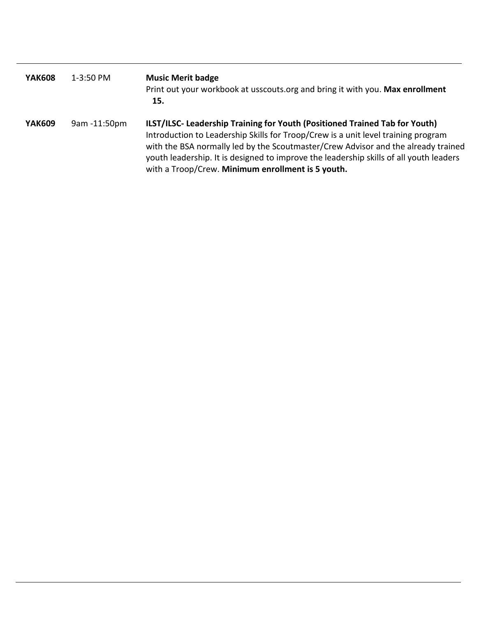| <b>YAK608</b> | 1-3:50 PM    | <b>Music Merit badge</b><br>Print out your workbook at usscouts.org and bring it with you. Max enrollment<br>15.                                                                                                                                                                                                                                                                                     |
|---------------|--------------|------------------------------------------------------------------------------------------------------------------------------------------------------------------------------------------------------------------------------------------------------------------------------------------------------------------------------------------------------------------------------------------------------|
| <b>YAK609</b> | 9am -11:50pm | ILST/ILSC- Leadership Training for Youth (Positioned Trained Tab for Youth)<br>Introduction to Leadership Skills for Troop/Crew is a unit level training program<br>with the BSA normally led by the Scoutmaster/Crew Advisor and the already trained<br>youth leadership. It is designed to improve the leadership skills of all youth leaders<br>with a Troop/Crew. Minimum enrollment is 5 youth. |